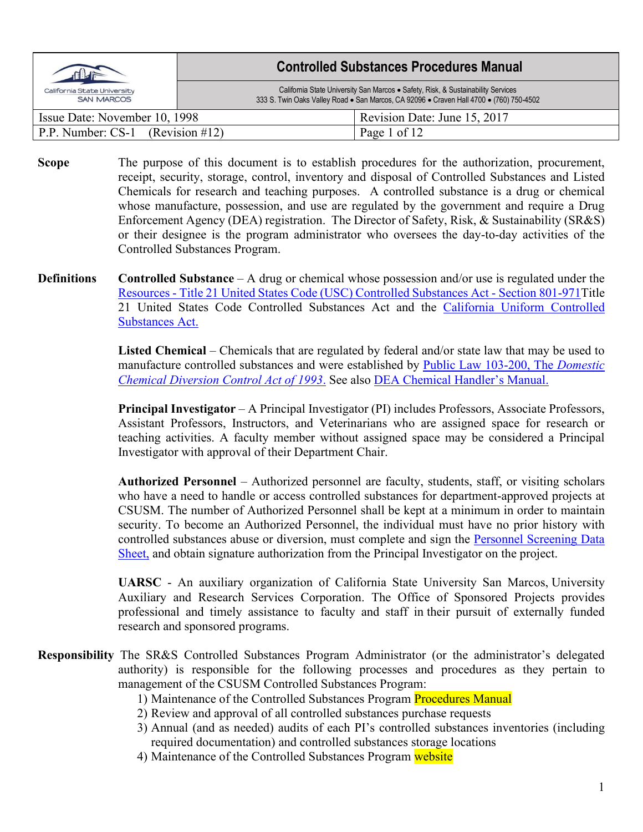| California State University<br><b>SAN MARCOS</b> | <b>Controlled Substances Procedures Manual</b>                                                                                                                              |
|--------------------------------------------------|-----------------------------------------------------------------------------------------------------------------------------------------------------------------------------|
|                                                  | California State University San Marcos . Safety, Risk, & Sustainability Services<br>333 S. Twin Oaks Valley Road . San Marcos, CA 92096 . Craven Hall 4700 . (760) 750-4502 |
| Issue Date: November 10, 1998                    | Revision Date: June 15, 2017                                                                                                                                                |
| P.P. Number: $CS-1$ (Revision #12)               | Page 1 of 12                                                                                                                                                                |

**Scope** The purpose of this document is to establish procedures for the authorization, procurement, receipt, security, storage, control, inventory and disposal of Controlled Substances and Listed Chemicals for research and teaching purposes. A controlled substance is a drug or chemical whose manufacture, possession, and use are regulated by the government and require a Drug Enforcement Agency (DEA) registration. The Director of Safety, Risk, & Sustainability (SR&S) or their designee is the program administrator who oversees the day-to-day activities of the Controlled Substances Program.

**Definitions Controlled Substance** – A drug or chemical whose possession and/or use is regulated under the Resources - [Title 21 United States Code \(USC\) Controlled Substances Act -](https://www.deadiversion.usdoj.gov/21cfr/21usc/) Section 801-971Title 21 United States Code Controlled Substances Act and the [California Uniform Controlled](https://leginfo.legislature.ca.gov/faces/codes_displayexpandedbranch.xhtml?tocCode=HSC&division=10.&title=&part=&chapter=&article=)  [Substances Act.](https://leginfo.legislature.ca.gov/faces/codes_displayexpandedbranch.xhtml?tocCode=HSC&division=10.&title=&part=&chapter=&article=)

> **Listed Chemical** – Chemicals that are regulated by federal and/or state law that may be used to manufacture controlled substances and were established by [Public Law 103-200, The](https://www.congress.gov/bill/103rd-congress/senate-bill/1663) *Domestic [Chemical Diversion Control Act of 1993](https://www.congress.gov/bill/103rd-congress/senate-bill/1663)*. See also [DEA Chemical Handler's Manual.](https://www.deadiversion.usdoj.gov/pubs/manuals/chem/chem_manual.pdf)

> **Principal Investigator** – A Principal Investigator (PI) includes Professors, Associate Professors, Assistant Professors, Instructors, and Veterinarians who are assigned space for research or teaching activities. A faculty member without assigned space may be considered a Principal Investigator with approval of their Department Chair.

> **Authorized Personnel** – Authorized personnel are faculty, students, staff, or visiting scholars who have a need to handle or access controlled substances for department-approved projects at CSUSM. The number of Authorized Personnel shall be kept at a minimum in order to maintain security. To become an Authorized Personnel, the individual must have no prior history with controlled substances abuse or diversion, must complete and sign the Personnel Screening Data Sheet, and obtain signature authorization from the Principal Investigator on the project.

> **UARSC** - An auxiliary organization of California State University San Marcos, University Auxiliary and Research Services Corporation. The Office of Sponsored Projects provides professional and timely assistance to faculty and staff in their pursuit of externally funded research and sponsored programs.

- **Responsibility** The SR&S Controlled Substances Program Administrator (or the administrator's delegated authority) is responsible for the following processes and procedures as they pertain to management of the CSUSM Controlled Substances Program:
	- 1) Maintenance of the Controlled Substances Program Procedures Manual
	- 2) Review and approval of all controlled substances purchase requests
	- 3) Annual (and as needed) audits of each PI's controlled substances inventories (including required documentation) and controlled substances storage locations
	- 4) Maintenance of the Controlled Substances Program website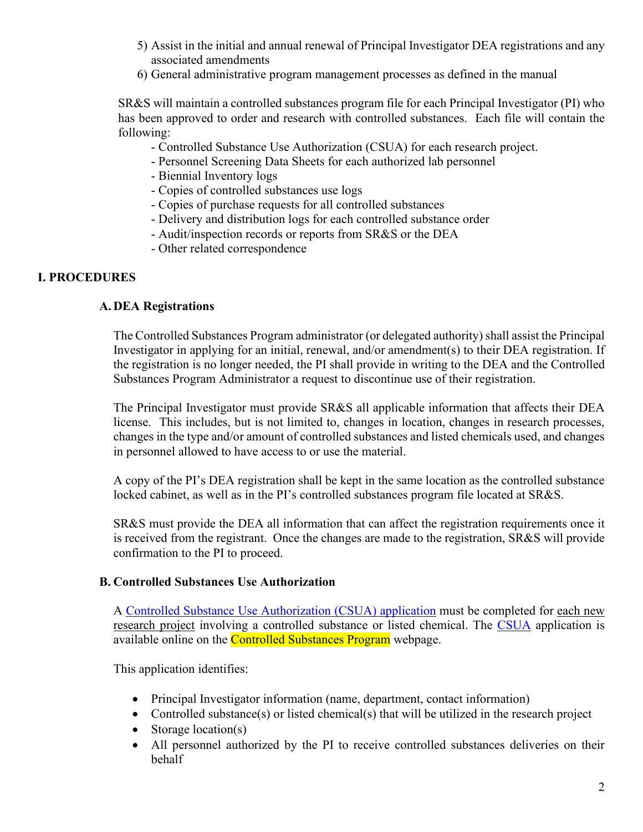- 5) Assist in the initial and annual renewal of Principal Investigator DEA registrations and any associated amendments
- 6) General administrative program management processes as defined in the manual

SR&S will maintain a controlled substances program file for each Principal Investigator (PI) who has been approved to order and research with controlled substances. Each file will contain the following:

- Controlled Substance Use Authorization (CSUA) for each research project.
- Personnel Screening Data Sheets for each authorized lab personnel
- Biennial Inventory logs
- Copies of controlled substances use logs
- Copies of purchase requests for all controlled substances
- Delivery and distribution logs for each controlled substance order
- Audit/inspection records or reports from SR&S or the DEA
- Other related correspondence

### **I. PROCEDURES**

#### **A. DEA Registrations**

The Controlled Substances Program administrator (or delegated authority) shall assist the Principal Investigator in applying for an initial, renewal, and/or amendment(s) to their DEA registration. If the registration is no longer needed, the PI shall provide in writing to the DEA and the Controlled Substances Program Administrator a request to discontinue use of their registration.

The Principal Investigator must provide SR&S all applicable information that affects their DEA license. This includes, but is not limited to, changes in location, changes in research processes, changes in the type and/or amount of controlled substances and listed chemicals used, and changes in personnel allowed to have access to or use the material.

A copy of the PI's DEA registration shall be kept in the same location as the controlled substance locked cabinet, as well as in the PI's controlled substances program file located at SR&S.

SR&S must provide the DEA all information that can affect the registration requirements once it is received from the registrant. Once the changes are made to the registration, SR&S will provide confirmation to the PI to proceed.

#### **B. Controlled Substances Use Authorization**

A Controlled Substance Use Authorization (CSUA) application must be completed for each new research project involving a controlled substance or listed chemical. The CSUA application is available online on the **Controlled Substances Program** webpage.

This application identifies:

- Principal Investigator information (name, department, contact information)
- Controlled substance(s) or listed chemical(s) that will be utilized in the research project
- Storage location(s)
- All personnel authorized by the PI to receive controlled substances deliveries on their behalf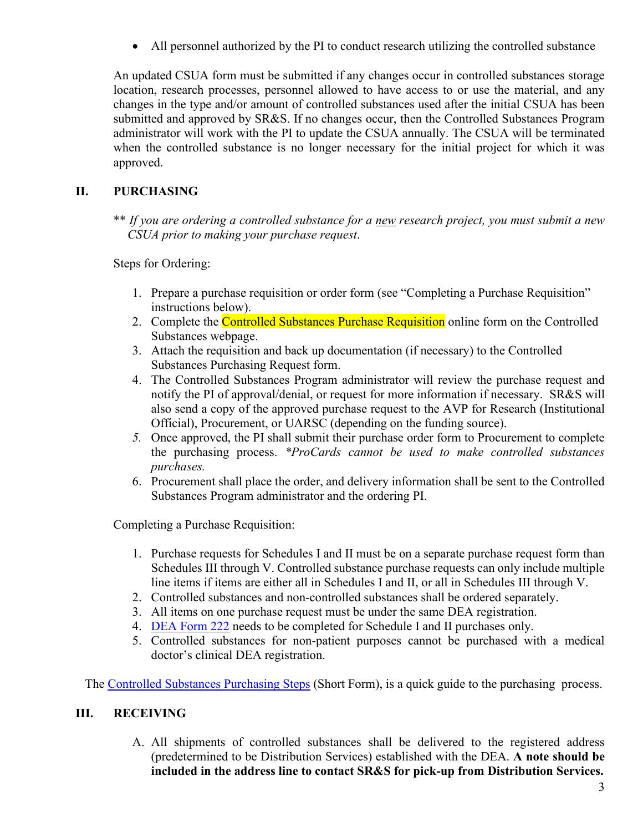• All personnel authorized by the PI to conduct research utilizing the controlled substance

An updated CSUA form must be submitted if any changes occur in controlled substances storage location, research processes, personnel allowed to have access to or use the material, and any changes in the type and/or amount of controlled substances used after the initial CSUA has been submitted and approved by SR&S. If no changes occur, then the Controlled Substances Program administrator will work with the PI to update the CSUA annually. The CSUA will be terminated when the controlled substance is no longer necessary for the initial project for which it was approved.

# **II. PURCHASING**

\*\* *If you are ordering a controlled substance for a new research project, you must submit a new CSUA prior to making your purchase request*.

Steps for Ordering:

- 1. Prepare a purchase requisition or order form (see "Completing a Purchase Requisition" instructions below).
- 2. Complete the Controlled Substances Purchase Requisition online form on the Controlled Substances webpage.
- 3. Attach the requisition and back up documentation (if necessary) to the Controlled Substances Purchasing Request form.
- 4. The Controlled Substances Program administrator will review the purchase request and notify the PI of approval/denial, or request for more information if necessary. SR&S will also send a copy of the approved purchase request to the AVP for Research (Institutional Official), Procurement, or UARSC (depending on the funding source).
- *5.* Once approved, the PI shall submit their purchase order form to Procurement to complete the purchasing process. *\*ProCards cannot be used to make controlled substances purchases.*
- 6. Procurement shall place the order, and delivery information shall be sent to the Controlled Substances Program administrator and the ordering PI.

Completing a Purchase Requisition:

- 1. Purchase requests for Schedules I and II must be on a separate purchase request form than Schedules III through V. Controlled substance purchase requests can only include multiple line items if items are either all in Schedules I and II, or all in Schedules III through V.
- 2. Controlled substances and non-controlled substances shall be ordered separately.
- 3. All items on one purchase request must be under the same DEA registration.
- 4. [DEA Form 222](https://apps.deadiversion.usdoj.gov/webforms/orderFormsRequest.jsp) needs to be completed for Schedule I and II purchases only.
- 5. Controlled substances for non-patient purposes cannot be purchased with a medical doctor's clinical DEA registration.

The Controlled Substances Purchasing Steps (Short Form), is a quick guide to the purchasing process.

# **III. RECEIVING**

A. All shipments of controlled substances shall be delivered to the registered address (predetermined to be Distribution Services) established with the DEA. **A note should be included in the address line to contact SR&S for pick-up from Distribution Services.**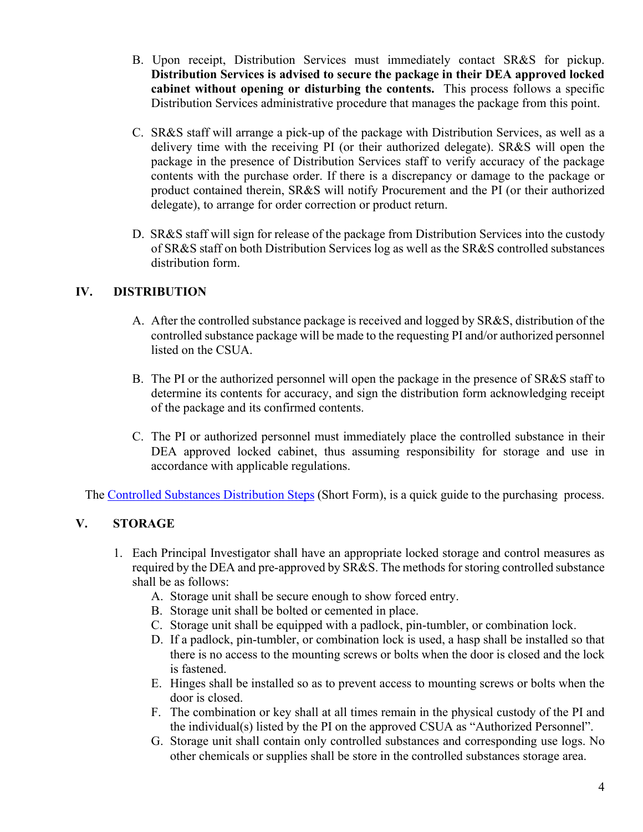- B. Upon receipt, Distribution Services must immediately contact SR&S for pickup. **Distribution Services is advised to secure the package in their DEA approved locked cabinet without opening or disturbing the contents.** This process follows a specific Distribution Services administrative procedure that manages the package from this point.
- C. SR&S staff will arrange a pick-up of the package with Distribution Services, as well as a delivery time with the receiving PI (or their authorized delegate). SR&S will open the package in the presence of Distribution Services staff to verify accuracy of the package contents with the purchase order. If there is a discrepancy or damage to the package or product contained therein, SR&S will notify Procurement and the PI (or their authorized delegate), to arrange for order correction or product return.
- D. SR&S staff will sign for release of the package from Distribution Services into the custody of SR&S staff on both Distribution Services log as well as the SR&S controlled substances distribution form.

# **IV. DISTRIBUTION**

- A. After the controlled substance package is received and logged by SR&S, distribution of the controlled substance package will be made to the requesting PI and/or authorized personnel listed on the CSUA.
- B. The PI or the authorized personnel will open the package in the presence of SR&S staff to determine its contents for accuracy, and sign the distribution form acknowledging receipt of the package and its confirmed contents.
- C. The PI or authorized personnel must immediately place the controlled substance in their DEA approved locked cabinet, thus assuming responsibility for storage and use in accordance with applicable regulations.

The Controlled Substances Distribution Steps (Short Form), is a quick guide to the purchasing process.

### **V. STORAGE**

- 1. Each Principal Investigator shall have an appropriate locked storage and control measures as required by the DEA and pre-approved by SR&S. The methods for storing controlled substance shall be as follows:
	- A. Storage unit shall be secure enough to show forced entry.
	- B. Storage unit shall be bolted or cemented in place.
	- C. Storage unit shall be equipped with a padlock, pin-tumbler, or combination lock.
	- D. If a padlock, pin-tumbler, or combination lock is used, a hasp shall be installed so that there is no access to the mounting screws or bolts when the door is closed and the lock is fastened.
	- E. Hinges shall be installed so as to prevent access to mounting screws or bolts when the door is closed.
	- F. The combination or key shall at all times remain in the physical custody of the PI and the individual(s) listed by the PI on the approved CSUA as "Authorized Personnel".
	- G. Storage unit shall contain only controlled substances and corresponding use logs. No other chemicals or supplies shall be store in the controlled substances storage area.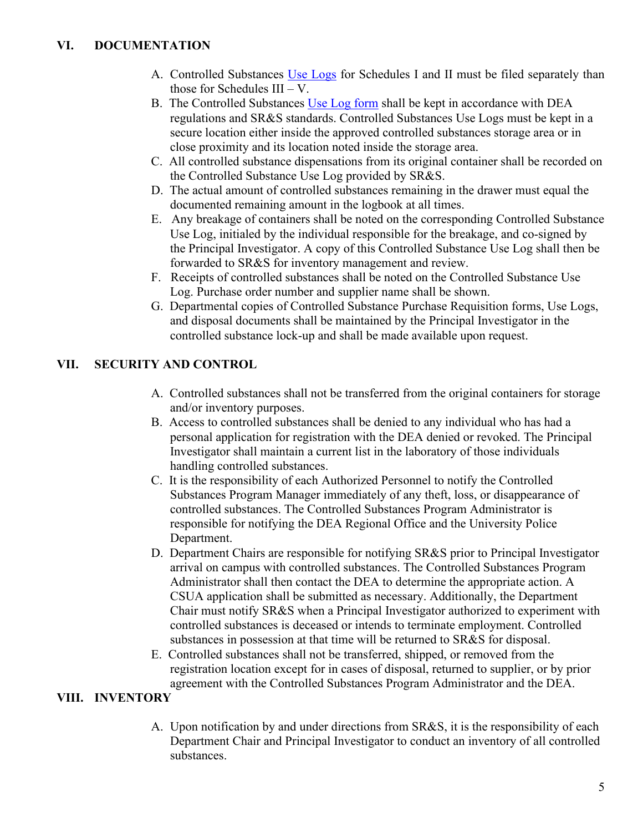- A. Controlled Substances Use Logs for Schedules I and II must be filed separately than those for Schedules  $III - V$ .
- B. The Controlled Substances Use Log form shall be kept in accordance with DEA regulations and SR&S standards. Controlled Substances Use Logs must be kept in a secure location either inside the approved controlled substances storage area or in close proximity and its location noted inside the storage area.
- C. All controlled substance dispensations from its original container shall be recorded on the Controlled Substance Use Log provided by SR&S.
- D. The actual amount of controlled substances remaining in the drawer must equal the documented remaining amount in the logbook at all times.
- E. Any breakage of containers shall be noted on the corresponding Controlled Substance Use Log, initialed by the individual responsible for the breakage, and co-signed by the Principal Investigator. A copy of this Controlled Substance Use Log shall then be forwarded to SR&S for inventory management and review.
- F. Receipts of controlled substances shall be noted on the Controlled Substance Use Log. Purchase order number and supplier name shall be shown.
- G. Departmental copies of Controlled Substance Purchase Requisition forms, Use Logs, and disposal documents shall be maintained by the Principal Investigator in the controlled substance lock-up and shall be made available upon request.

# **VII. SECURITY AND CONTROL**

- A. Controlled substances shall not be transferred from the original containers for storage and/or inventory purposes.
- B. Access to controlled substances shall be denied to any individual who has had a personal application for registration with the DEA denied or revoked. The Principal Investigator shall maintain a current list in the laboratory of those individuals handling controlled substances.
- C. It is the responsibility of each Authorized Personnel to notify the Controlled Substances Program Manager immediately of any theft, loss, or disappearance of controlled substances. The Controlled Substances Program Administrator is responsible for notifying the DEA Regional Office and the University Police Department.
- D. Department Chairs are responsible for notifying SR&S prior to Principal Investigator arrival on campus with controlled substances. The Controlled Substances Program Administrator shall then contact the DEA to determine the appropriate action. A CSUA application shall be submitted as necessary. Additionally, the Department Chair must notify SR&S when a Principal Investigator authorized to experiment with controlled substances is deceased or intends to terminate employment. Controlled substances in possession at that time will be returned to SR&S for disposal.
- E. Controlled substances shall not be transferred, shipped, or removed from the registration location except for in cases of disposal, returned to supplier, or by prior agreement with the Controlled Substances Program Administrator and the DEA.

# **VIII. INVENTORY**

A. Upon notification by and under directions from SR&S, it is the responsibility of each Department Chair and Principal Investigator to conduct an inventory of all controlled substances.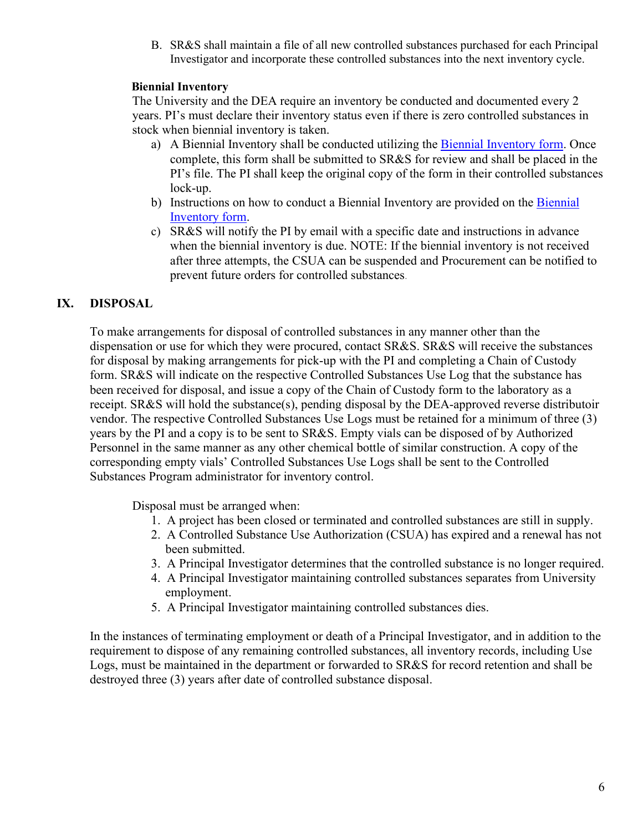B. SR&S shall maintain a file of all new controlled substances purchased for each Principal Investigator and incorporate these controlled substances into the next inventory cycle.

#### **Biennial Inventory**

The University and the DEA require an inventory be conducted and documented every 2 years. PI's must declare their inventory status even if there is zero controlled substances in stock when biennial inventory is taken.

- a) A Biennial Inventory shall be conducted utilizing the Biennial Inventory form. Once complete, this form shall be submitted to SR&S for review and shall be placed in the PI's file. The PI shall keep the original copy of the form in their controlled substances lock-up.
- b) Instructions on how to conduct a Biennial Inventory are provided on the Biennial Inventory form.
- c) SR&S will notify the PI by email with a specific date and instructions in advance when the biennial inventory is due. NOTE: If the biennial inventory is not received after three attempts, the CSUA can be suspended and Procurement can be notified to prevent future orders for controlled substances.

### **IX. DISPOSAL**

To make arrangements for disposal of controlled substances in any manner other than the dispensation or use for which they were procured, contact SR&S. SR&S will receive the substances for disposal by making arrangements for pick-up with the PI and completing a Chain of Custody form. SR&S will indicate on the respective Controlled Substances Use Log that the substance has been received for disposal, and issue a copy of the Chain of Custody form to the laboratory as a receipt. SR&S will hold the substance(s), pending disposal by the DEA-approved reverse distributoir vendor. The respective Controlled Substances Use Logs must be retained for a minimum of three (3) years by the PI and a copy is to be sent to SR&S. Empty vials can be disposed of by Authorized Personnel in the same manner as any other chemical bottle of similar construction. A copy of the corresponding empty vials' Controlled Substances Use Logs shall be sent to the Controlled Substances Program administrator for inventory control.

Disposal must be arranged when:

- 1. A project has been closed or terminated and controlled substances are still in supply.
- 2. A Controlled Substance Use Authorization (CSUA) has expired and a renewal has not been submitted.
- 3. A Principal Investigator determines that the controlled substance is no longer required.
- 4. A Principal Investigator maintaining controlled substances separates from University employment.
- 5. A Principal Investigator maintaining controlled substances dies.

In the instances of terminating employment or death of a Principal Investigator, and in addition to the requirement to dispose of any remaining controlled substances, all inventory records, including Use Logs, must be maintained in the department or forwarded to SR&S for record retention and shall be destroyed three (3) years after date of controlled substance disposal.